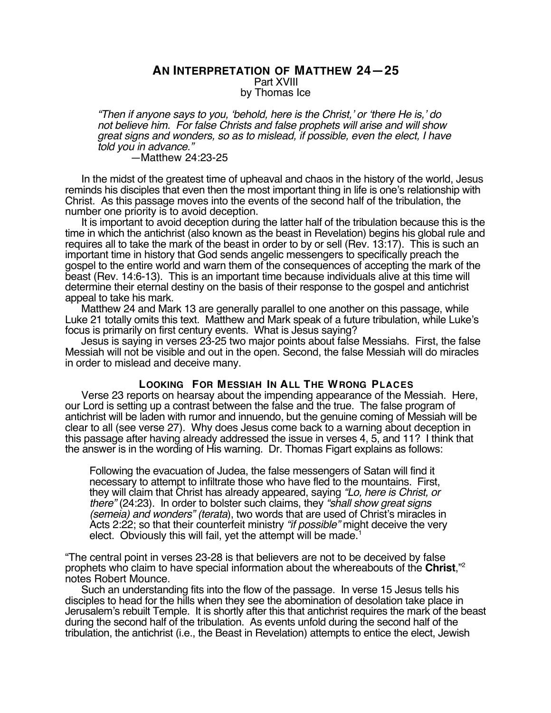## **AN INTERPRETATION OF MATTHEW 24—25** Part XVIII by Thomas Ice

"Then if anyone says to you, 'behold, here is the Christ,' or 'there He is,' do not believe him. For false Christs and false prophets will arise and will show great signs and wonders, so as to mislead, if possible, even the elect, I have told you in advance."

#### —Matthew 24:23-25

In the midst of the greatest time of upheaval and chaos in the history of the world, Jesus reminds his disciples that even then the most important thing in life is one's relationship with Christ. As this passage moves into the events of the second half of the tribulation, the number one priority is to avoid deception.

It is important to avoid deception during the latter half of the tribulation because this is the time in which the antichrist (also known as the beast in Revelation) begins his global rule and requires all to take the mark of the beast in order to by or sell (Rev. 13:17). This is such an important time in history that God sends angelic messengers to specifically preach the gospel to the entire world and warn them of the consequences of accepting the mark of the beast (Rev. 14:6-13). This is an important time because individuals alive at this time will determine their eternal destiny on the basis of their response to the gospel and antichrist appeal to take his mark.

Matthew 24 and Mark 13 are generally parallel to one another on this passage, while Luke 21 totally omits this text. Matthew and Mark speak of a future tribulation, while Luke's focus is primarily on first century events. What is Jesus saying?

Jesus is saying in verses 23-25 two major points about false Messiahs. First, the false Messiah will not be visible and out in the open. Second, the false Messiah will do miracles in order to mislead and deceive many.

### **LOOKING FOR MESSIAH IN ALL THE WRONG PLACES**

Verse 23 reports on hearsay about the impending appearance of the Messiah. Here, our Lord is setting up a contrast between the false and the true. The false program of antichrist will be laden with rumor and innuendo, but the genuine coming of Messiah will be clear to all (see verse 27). Why does Jesus come back to a warning about deception in this passage after having already addressed the issue in verses 4, 5, and 11? I think that the answer is in the wording of His warning. Dr. Thomas Figart explains as follows:

Following the evacuation of Judea, the false messengers of Satan will find it necessary to attempt to infiltrate those who have fled to the mountains. First, they will claim that Christ has already appeared, saying "Lo, here is Christ, or there" (24:23). In order to bolster such claims, they "shall show great signs (semeia) and wonders" (terata), two words that are used of Christ's miracles in Acts 2:22; so that their counterfeit ministry "*if possible*" might deceive the very elect. Obviously this will fail, yet the attempt will be made.

"The central point in verses 23-28 is that believers are not to be deceived by false prophets who claim to have special information about the whereabouts of the **Christ**,"2 notes Robert Mounce.

Such an understanding fits into the flow of the passage. In verse 15 Jesus tells his disciples to head for the hills when they see the abomination of desolation take place in Jerusalem's rebuilt Temple. It is shortly after this that antichrist requires the mark of the beast during the second half of the tribulation. As events unfold during the second half of the tribulation, the antichrist (i.e., the Beast in Revelation) attempts to entice the elect, Jewish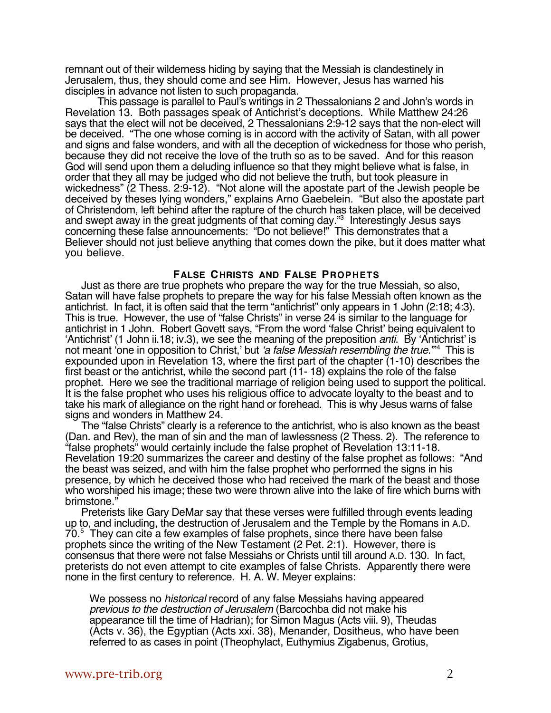remnant out of their wilderness hiding by saying that the Messiah is clandestinely in Jerusalem, thus, they should come and see Him. However, Jesus has warned his disciples in advance not listen to such propaganda.

This passage is parallel to Paul's writings in 2 Thessalonians 2 and John's words in Revelation 13. Both passages speak of Antichrist's deceptions. While Matthew 24:26 says that the elect will not be deceived, 2 Thessalonians 2:9-12 says that the non-elect will be deceived. "The one whose coming is in accord with the activity of Satan, with all power and signs and false wonders, and with all the deception of wickedness for those who perish, because they did not receive the love of the truth so as to be saved. And for this reason God will send upon them a deluding influence so that they might believe what is false, in order that they all may be judged who did not believe the truth, but took pleasure in wickedness" (2 Thess. 2:9-12). "Not alone will the apostate part of the Jewish people be deceived by theses lying wonders," explains Arno Gaebelein. "But also the apostate part of Christendom, left behind after the rapture of the church has taken place, will be deceived and swept away in the great judgments of that coming day."<sup>3</sup> Interestingly Jesus says concerning these false announcements: "Do not believe!" This demonstrates that a Believer should not just believe anything that comes down the pike, but it does matter what you believe.

### **FALSE CHRISTS AND FALSE PROPHETS**

Just as there are true prophets who prepare the way for the true Messiah, so also, Satan will have false prophets to prepare the way for his false Messiah often known as the antichrist. In fact, it is often said that the term "antichrist" only appears in 1 John (2:18; 4:3). This is true. However, the use of "false Christs" in verse 24 is similar to the language for antichrist in 1 John. Robert Govett says, "From the word 'false Christ' being equivalent to 'Antichrist' (1 John ii.18; iv.3), we see the meaning of the preposition anti. By 'Antichrist' is not meant 'one in opposition to Christ,' but *'a false Messiah resembling the true.*"<sup>4</sup> This is expounded upon in Revelation 13, where the first part of the chapter (1-10) describes the first beast or the antichrist, while the second part (11- 18) explains the role of the false prophet. Here we see the traditional marriage of religion being used to support the political. It is the false prophet who uses his religious office to advocate loyalty to the beast and to take his mark of allegiance on the right hand or forehead. This is why Jesus warns of false signs and wonders in Matthew 24.

The "false Christs" clearly is a reference to the antichrist, who is also known as the beast (Dan. and Rev), the man of sin and the man of lawlessness (2 Thess. 2). The reference to "false prophets" would certainly include the false prophet of Revelation 13:11-18. Revelation 19:20 summarizes the career and destiny of the false prophet as follows: "And the beast was seized, and with him the false prophet who performed the signs in his presence, by which he deceived those who had received the mark of the beast and those who worshiped his image; these two were thrown alive into the lake of fire which burns with brimstone."

Preterists like Gary DeMar say that these verses were fulfilled through events leading up to, and including, the destruction of Jerusalem and the Temple by the Romans in A.D. 70.5 They can cite a few examples of false prophets, since there have been false prophets since the writing of the New Testament (2 Pet. 2:1). However, there is consensus that there were not false Messiahs or Christs until till around A.D. 130. In fact, preterists do not even attempt to cite examples of false Christs. Apparently there were none in the first century to reference. H. A. W. Meyer explains:

We possess no historical record of any false Messiahs having appeared previous to the destruction of Jerusalem (Barcochba did not make his appearance till the time of Hadrian); for Simon Magus (Acts viii. 9), Theudas (Acts v. 36), the Egyptian (Acts xxi. 38), Menander, Dositheus, who have been referred to as cases in point (Theophylact, Euthymius Zigabenus, Grotius,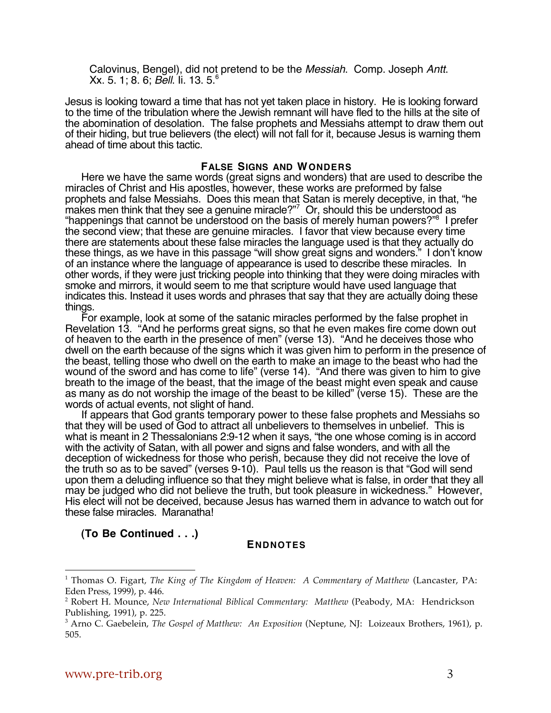Calovinus, Bengel), did not pretend to be the Messiah. Comp. Joseph Antt. Xx. 5. 1; 8. 6; Bell. Ii. 13. 5.6

Jesus is looking toward a time that has not yet taken place in history. He is looking forward to the time of the tribulation where the Jewish remnant will have fled to the hills at the site of the abomination of desolation. The false prophets and Messiahs attempt to draw them out of their hiding, but true believers (the elect) will not fall for it, because Jesus is warning them ahead of time about this tactic.

#### **FALSE SIGNS AND WONDERS**

Here we have the same words (great signs and wonders) that are used to describe the miracles of Christ and His apostles, however, these works are preformed by false prophets and false Messiahs. Does this mean that Satan is merely deceptive, in that, "he makes men think that they see a genuine miracle?"7 Or, should this be understood as "happenings that cannot be understood on the basis of merely human powers?"8 I prefer the second view; that these are genuine miracles. I favor that view because every time there are statements about these false miracles the language used is that they actually do these things, as we have in this passage "will show great signs and wonders." I don't know of an instance where the language of appearance is used to describe these miracles. In other words, if they were just tricking people into thinking that they were doing miracles with smoke and mirrors, it would seem to me that scripture would have used language that indicates this. Instead it uses words and phrases that say that they are actually doing these things.

For example, look at some of the satanic miracles performed by the false prophet in Revelation 13. "And he performs great signs, so that he even makes fire come down out of heaven to the earth in the presence of men" (verse 13). "And he deceives those who dwell on the earth because of the signs which it was given him to perform in the presence of the beast, telling those who dwell on the earth to make an image to the beast who had the wound of the sword and has come to life" (verse 14). "And there was given to him to give breath to the image of the beast, that the image of the beast might even speak and cause as many as do not worship the image of the beast to be killed" (verse 15). These are the words of actual events, not slight of hand.

If appears that God grants temporary power to these false prophets and Messiahs so that they will be used of God to attract all unbelievers to themselves in unbelief. This is what is meant in 2 Thessalonians 2:9-12 when it says, "the one whose coming is in accord with the activity of Satan, with all power and signs and false wonders, and with all the deception of wickedness for those who perish, because they did not receive the love of the truth so as to be saved" (verses 9-10). Paul tells us the reason is that "God will send upon them a deluding influence so that they might believe what is false, in order that they all may be judged who did not believe the truth, but took pleasure in wickedness." However, His elect will not be deceived, because Jesus has warned them in advance to watch out for these false miracles. Maranatha!

**(To Be Continued . . .)**

# **ENDNOTES**

 $\overline{a}$ 

<sup>1</sup> Thomas O. Figart, *The King of The Kingdom of Heaven: A Commentary of Matthew* (Lancaster, PA: Eden Press, 1999), p. 446.

<sup>2</sup> Robert H. Mounce, *New International Biblical Commentary: Matthew* (Peabody, MA: Hendrickson Publishing, 1991), p. 225.

<sup>3</sup> Arno C. Gaebelein, *The Gospel of Matthew: An Exposition* (Neptune, NJ: Loizeaux Brothers, 1961), p. 505.